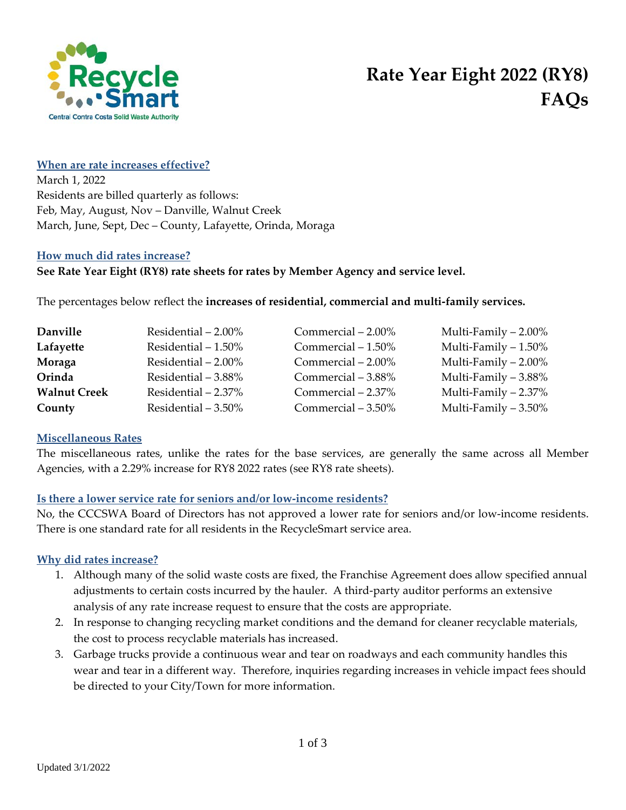

# **When are rate increases effective?**

March 1, 2022 Residents are billed quarterly as follows: Feb, May, August, Nov – Danville, Walnut Creek March, June, Sept, Dec – County, Lafayette, Orinda, Moraga

## **How much did rates increase?**

# **See Rate Year Eight (RY8) rate sheets for rates by Member Agency and service level.**

The percentages below reflect the **increases of residential, commercial and multi-family services.** 

| Danville            | Residential $-2.00\%$ | Commercial $-2.00\%$ | Multi-Family $-2.00\%$ |
|---------------------|-----------------------|----------------------|------------------------|
| Lafayette           | Residential $-1.50\%$ | Commercial $-1.50\%$ | Multi-Family $-1.50\%$ |
| Moraga              | Residential $-2.00\%$ | Commercial $-2.00\%$ | Multi-Family $-2.00\%$ |
| Orinda              | Residential - 3.88%   | Commercial – 3.88%   | Multi-Family $-3.88\%$ |
| <b>Walnut Creek</b> | Residential - 2.37%   | Commercial $-2.37%$  | Multi-Family $-2.37%$  |
| County              | Residential $-3.50\%$ | Commercial $-3.50\%$ | Multi-Family $-3.50\%$ |

### **Miscellaneous Rates**

The miscellaneous rates, unlike the rates for the base services, are generally the same across all Member Agencies, with a 2.29% increase for RY8 2022 rates (see RY8 rate sheets).

# **Is there a lower service rate for seniors and/or low-income residents?**

No, the CCCSWA Board of Directors has not approved a lower rate for seniors and/or low-income residents. There is one standard rate for all residents in the RecycleSmart service area.

# **Why did rates increase?**

- 1. Although many of the solid waste costs are fixed, the Franchise Agreement does allow specified annual adjustments to certain costs incurred by the hauler. A third-party auditor performs an extensive analysis of any rate increase request to ensure that the costs are appropriate.
- 2. In response to changing recycling market conditions and the demand for cleaner recyclable materials, the cost to process recyclable materials has increased.
- 3. Garbage trucks provide a continuous wear and tear on roadways and each community handles this wear and tear in a different way. Therefore, inquiries regarding increases in vehicle impact fees should be directed to your City/Town for more information.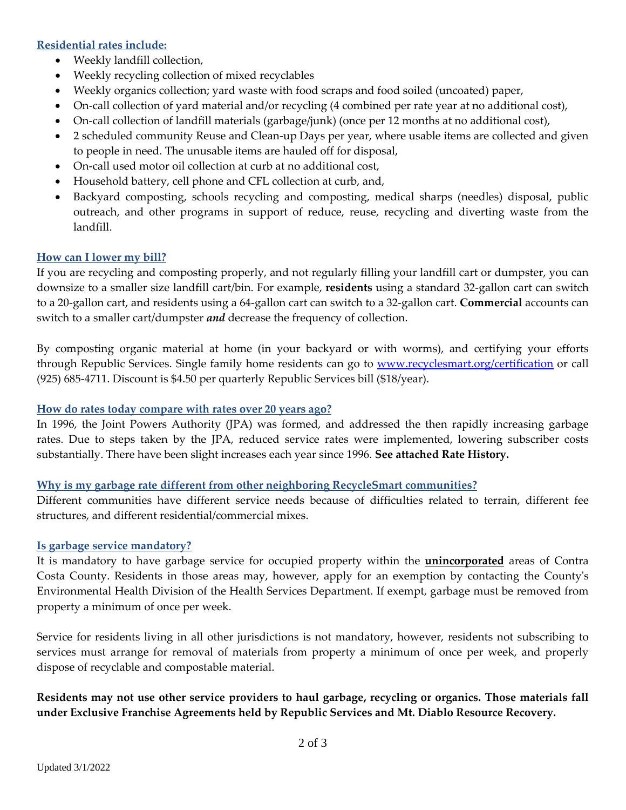# **Residential rates include:**

- Weekly landfill collection,
- Weekly recycling collection of mixed recyclables
- Weekly organics collection; yard waste with food scraps and food soiled (uncoated) paper,
- On-call collection of yard material and/or recycling (4 combined per rate year at no additional cost),
- On-call collection of landfill materials (garbage/junk) (once per 12 months at no additional cost),
- 2 scheduled community Reuse and Clean-up Days per year, where usable items are collected and given to people in need. The unusable items are hauled off for disposal,
- On-call used motor oil collection at curb at no additional cost,
- Household battery, cell phone and CFL collection at curb, and,
- Backyard composting, schools recycling and composting, medical sharps (needles) disposal, public outreach, and other programs in support of reduce, reuse, recycling and diverting waste from the landfill.

## **How can I lower my bill?**

If you are recycling and composting properly, and not regularly filling your landfill cart or dumpster, you can downsize to a smaller size landfill cart/bin. For example, **residents** using a standard 32-gallon cart can switch to a 20-gallon cart, and residents using a 64-gallon cart can switch to a 32-gallon cart. **Commercial** accounts can switch to a smaller cart/dumpster *and* decrease the frequency of collection.

By composting organic material at home (in your backyard or with worms), and certifying your efforts through Republic Services. Single family home residents can go to [www.recyclesmart.org/certification](http://www.recyclesmart.org/certification) or call (925) 685-4711. Discount is \$4.50 per quarterly Republic Services bill (\$18/year).

### **How do rates today compare with rates over 20 years ago?**

In 1996, the Joint Powers Authority (JPA) was formed, and addressed the then rapidly increasing garbage rates. Due to steps taken by the JPA, reduced service rates were implemented, lowering subscriber costs substantially. There have been slight increases each year since 1996. **See attached Rate History.**

### **Why is my garbage rate different from other neighboring RecycleSmart communities?**

Different communities have different service needs because of difficulties related to terrain, different fee structures, and different residential/commercial mixes.

### **Is garbage service mandatory?**

It is mandatory to have garbage service for occupied property within the **unincorporated** areas of Contra Costa County. Residents in those areas may, however, apply for an exemption by contacting the County's Environmental Health Division of the Health Services Department. If exempt, garbage must be removed from property a minimum of once per week.

Service for residents living in all other jurisdictions is not mandatory, however, residents not subscribing to services must arrange for removal of materials from property a minimum of once per week, and properly dispose of recyclable and compostable material.

**Residents may not use other service providers to haul garbage, recycling or organics. Those materials fall under Exclusive Franchise Agreements held by Republic Services and Mt. Diablo Resource Recovery.**